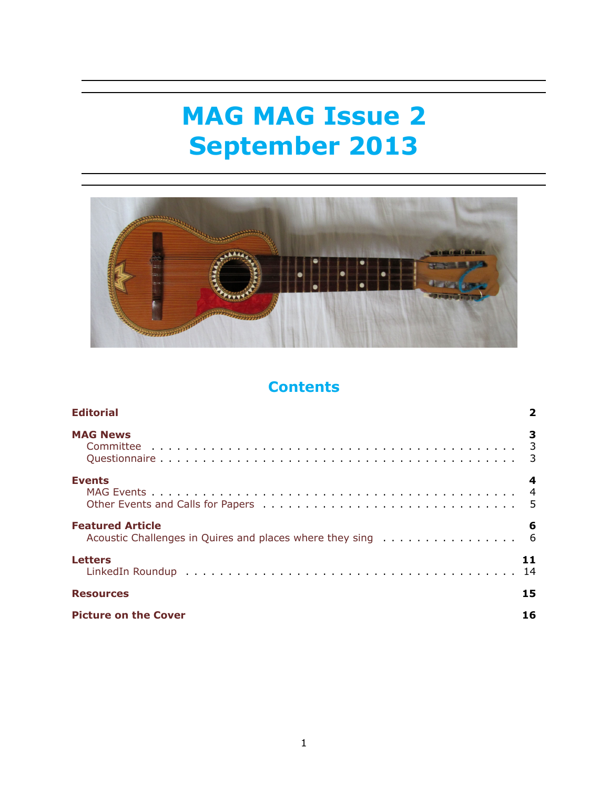# **MAG MAG Issue 2 September 2013**



# **Contents**

| <b>Editorial</b>                                                                      |   |
|---------------------------------------------------------------------------------------|---|
| <b>MAG News</b>                                                                       | 3 |
| <b>Events</b>                                                                         | 4 |
| <b>Featured Article</b><br>Acoustic Challenges in Quires and places where they sing 6 | 6 |
| <b>Letters</b><br>11<br>14                                                            |   |
| 15<br><b>Resources</b>                                                                |   |
| 16<br><b>Picture on the Cover</b>                                                     |   |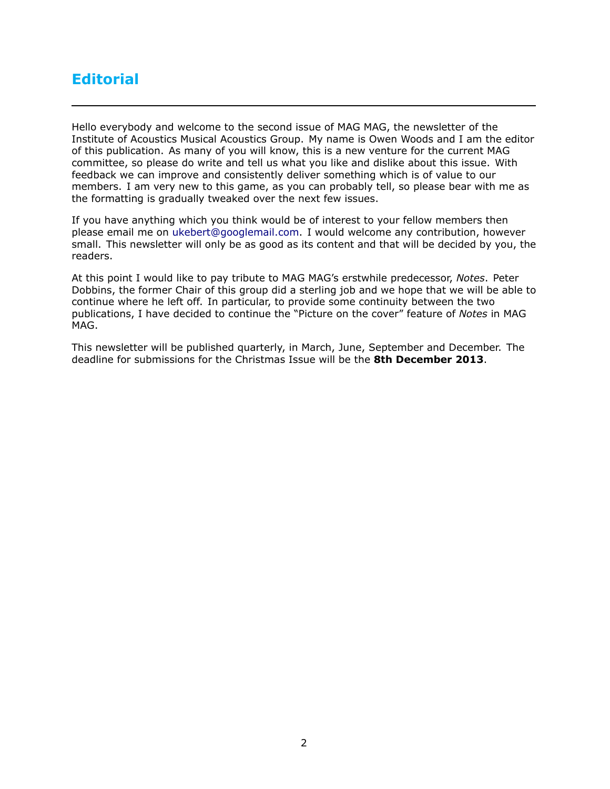# <span id="page-1-0"></span>**Editorial**

Hello everybody and welcome to the second issue of MAG MAG, the newsletter of the Institute of Acoustics Musical Acoustics Group. My name is Owen Woods and I am the editor of this publication. As many of you will know, this is a new venture for the current MAG committee, so please do write and tell us what you like and dislike about this issue. With feedback we can improve and consistently deliver something which is of value to our members. I am very new to this game, as you can probably tell, so please bear with me as the formatting is gradually tweaked over the next few issues.

If you have anything which you think would be of interest to your fellow members then please email me on [ukebert@googlemail.com](mailto:ukebert@googlemail.com). I would welcome any contribution, however small. This newsletter will only be as good as its content and that will be decided by you, the readers.

At this point I would like to pay tribute to MAG MAG's erstwhile predecessor, *Notes*. Peter Dobbins, the former Chair of this group did a sterling job and we hope that we will be able to continue where he left off. In particular, to provide some continuity between the two publications, I have decided to continue the "Picture on the cover" feature of *Notes* in MAG MAG.

This newsletter will be published quarterly, in March, June, September and December. The deadline for submissions for the Christmas Issue will be the **8th December 2013**.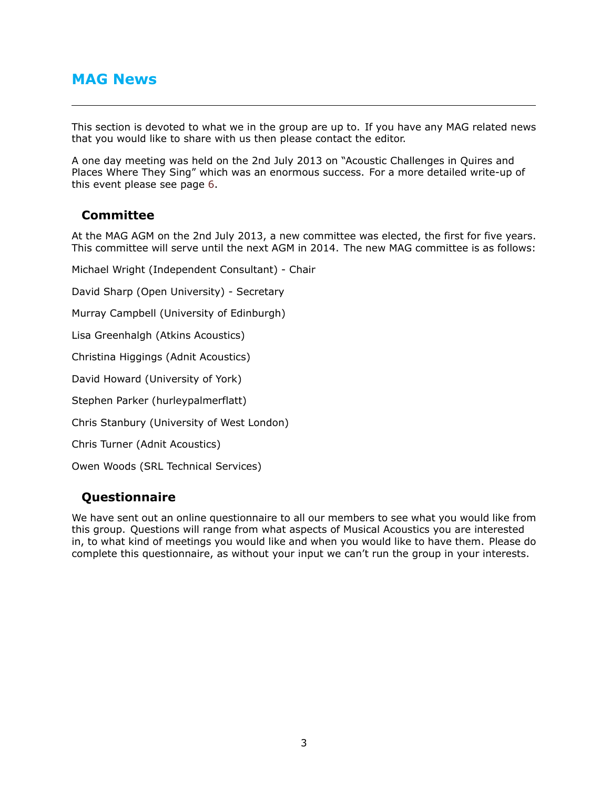# <span id="page-2-0"></span>**MAG News**

This section is devoted to what we in the group are up to. If you have any MAG related news that you would like to share with us then please contact the editor.

A one day meeting was held on the 2nd July 2013 on "Acoustic Challenges in Quires and Places Where They Sing" which was an enormous success. For a more detailed write-up of this event please see page [6](#page-5-1).

### <span id="page-2-1"></span>**Committee**

At the MAG AGM on the 2nd July 2013, a new committee was elected, the first for five years. This committee will serve until the next AGM in 2014. The new MAG committee is as follows:

Michael Wright (Independent Consultant) - Chair

David Sharp (Open University) - Secretary

Murray Campbell (University of Edinburgh)

Lisa Greenhalgh (Atkins Acoustics)

Christina Higgings (Adnit Acoustics)

David Howard (University of York)

Stephen Parker (hurleypalmerflatt)

Chris Stanbury (University of West London)

Chris Turner (Adnit Acoustics)

Owen Woods (SRL Technical Services)

### <span id="page-2-2"></span>**Questionnaire**

We have sent out an online questionnaire to all our members to see what you would like from this group. Questions will range from what aspects of Musical Acoustics you are interested in, to what kind of meetings you would like and when you would like to have them. Please do complete this questionnaire, as without your input we can't run the group in your interests.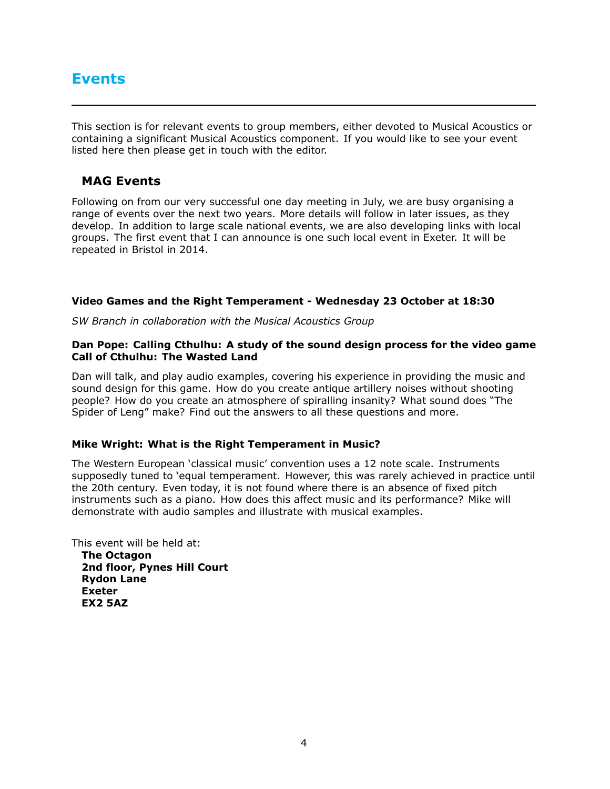# <span id="page-3-0"></span>**Events**

This section is for relevant events to group members, either devoted to Musical Acoustics or containing a significant Musical Acoustics component. If you would like to see your event listed here then please get in touch with the editor.

### <span id="page-3-1"></span>**MAG Events**

Following on from our very successful one day meeting in July, we are busy organising a range of events over the next two years. More details will follow in later issues, as they develop. In addition to large scale national events, we are also developing links with local groups. The first event that I can announce is one such local event in Exeter. It will be repeated in Bristol in 2014.

#### **Video Games and the Right Temperament - Wednesday 23 October at 18:30**

*SW Branch in collaboration with the Musical Acoustics Group*

#### **Dan Pope: Calling Cthulhu: A study of the sound design process for the video game Call of Cthulhu: The Wasted Land**

Dan will talk, and play audio examples, covering his experience in providing the music and sound design for this game. How do you create antique artillery noises without shooting people? How do you create an atmosphere of spiralling insanity? What sound does "The Spider of Leng" make? Find out the answers to all these questions and more.

#### **Mike Wright: What is the Right Temperament in Music?**

The Western European 'classical music' convention uses a 12 note scale. Instruments supposedly tuned to 'equal temperament. However, this was rarely achieved in practice until the 20th century. Even today, it is not found where there is an absence of fixed pitch instruments such as a piano. How does this affect music and its performance? Mike will demonstrate with audio samples and illustrate with musical examples.

This event will be held at:

**The Octagon 2nd floor, Pynes Hill Court Rydon Lane Exeter EX2 5AZ**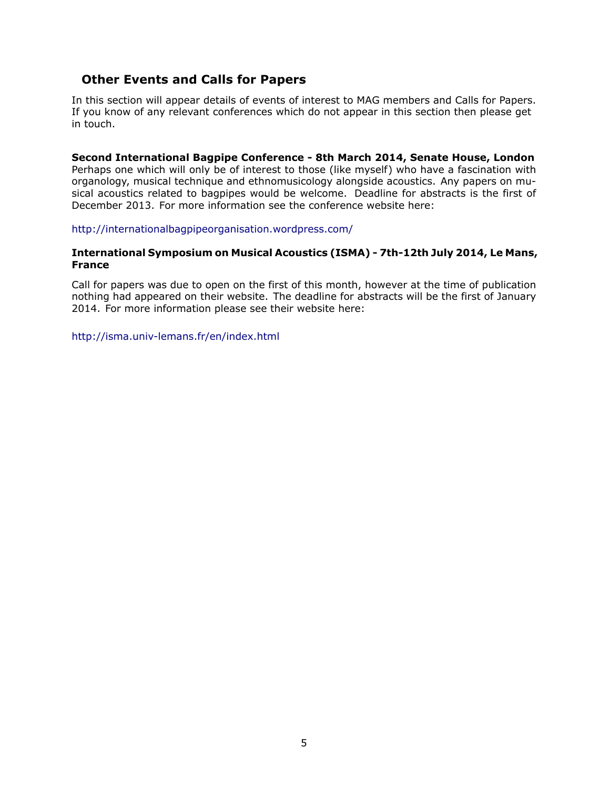### <span id="page-4-0"></span>**Other Events and Calls for Papers**

In this section will appear details of events of interest to MAG members and Calls for Papers. If you know of any relevant conferences which do not appear in this section then please get in touch.

**Second International Bagpipe Conference - 8th March 2014, Senate House, London** Perhaps one which will only be of interest to those (like myself) who have a fascination with organology, musical technique and ethnomusicology alongside acoustics. Any papers on musical acoustics related to bagpipes would be welcome. Deadline for abstracts is the first of December 2013. For more information see the conference website here:

<http://internationalbagpipeorganisation.wordpress.com/>

#### **International Symposium on Musical Acoustics (ISMA) - 7th-12th July 2014, Le Mans, France**

Call for papers was due to open on the first of this month, however at the time of publication nothing had appeared on their website. The deadline for abstracts will be the first of January 2014. For more information please see their website here:

<http://isma.univ-lemans.fr/en/index.html>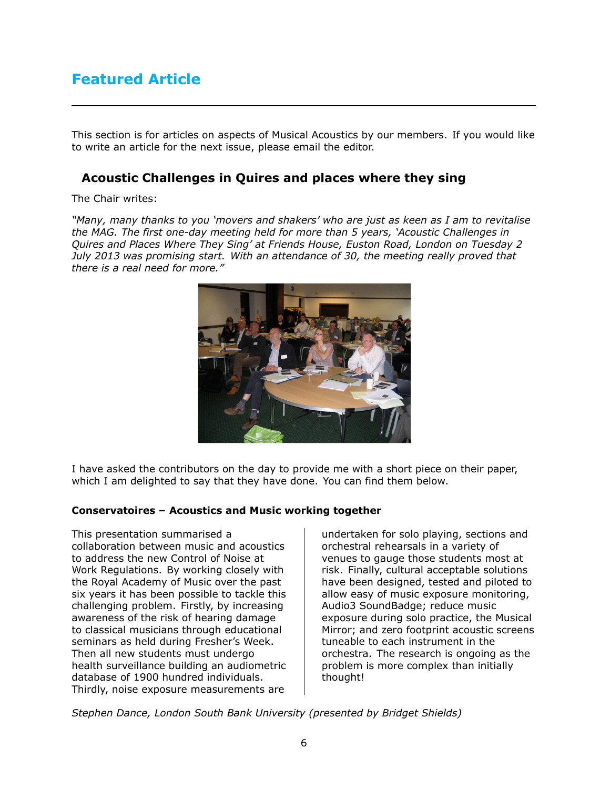# <span id="page-5-0"></span>**Featured Article**

This section is for articles on aspects of Musical Acoustics by our members. If you would like to write an article for the next issue, please email the editor.

### <span id="page-5-1"></span>**Acoustic Challenges in Quires and places where they sing**

#### The Chair writes:

*"Many, many thanks to you 'movers and shakers' who are just as keen as I am to revitalise the MAG. The first one-day meeting held for more than 5 years, 'Acoustic Challenges in Quires and Places Where They Sing' at Friends House, Euston Road, London on Tuesday 2 July 2013 was promising start. With an attendance of 30, the meeting really proved that there is a real need for more."*



I have asked the contributors on the day to provide me with a short piece on their paper, which I am delighted to say that they have done. You can find them below.

#### **Conservatoires – Acoustics and Music working together**

This presentation summarised a collaboration between music and acoustics to address the new Control of Noise at Work Regulations. By working closely with the Royal Academy of Music over the past six years it has been possible to tackle this challenging problem. Firstly, by increasing awareness of the risk of hearing damage to classical musicians through educational seminars as held during Fresher's Week. Then all new students must undergo health surveillance building an audiometric database of 1900 hundred individuals. Thirdly, noise exposure measurements are

undertaken for solo playing, sections and orchestral rehearsals in a variety of venues to gauge those students most at risk. Finally, cultural acceptable solutions have been designed, tested and piloted to allow easy of music exposure monitoring, Audio3 SoundBadge; reduce music exposure during solo practice, the Musical Mirror; and zero footprint acoustic screens tuneable to each instrument in the orchestra. The research is ongoing as the problem is more complex than initially thought!

*Stephen Dance, London South Bank University (presented by Bridget Shields)*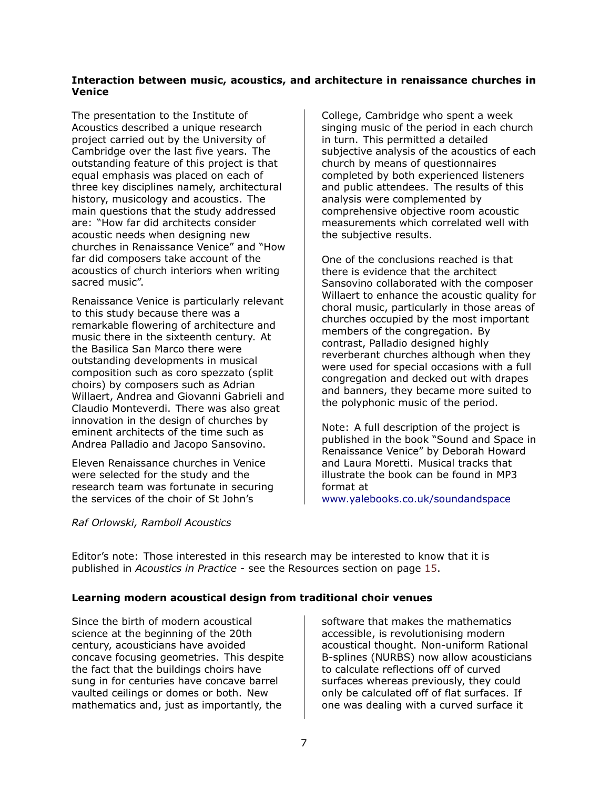#### <span id="page-6-0"></span>**Interaction between music, acoustics, and architecture in renaissance churches in Venice**

The presentation to the Institute of Acoustics described a unique research project carried out by the University of Cambridge over the last five years. The outstanding feature of this project is that equal emphasis was placed on each of three key disciplines namely, architectural history, musicology and acoustics. The main questions that the study addressed are: "How far did architects consider acoustic needs when designing new churches in Renaissance Venice" and "How far did composers take account of the acoustics of church interiors when writing sacred music".

Renaissance Venice is particularly relevant to this study because there was a remarkable flowering of architecture and music there in the sixteenth century. At the Basilica San Marco there were outstanding developments in musical composition such as coro spezzato (split choirs) by composers such as Adrian Willaert, Andrea and Giovanni Gabrieli and Claudio Monteverdi. There was also great innovation in the design of churches by eminent architects of the time such as Andrea Palladio and Jacopo Sansovino.

Eleven Renaissance churches in Venice were selected for the study and the research team was fortunate in securing the services of the choir of St John's

College, Cambridge who spent a week singing music of the period in each church in turn. This permitted a detailed subjective analysis of the acoustics of each church by means of questionnaires completed by both experienced listeners and public attendees. The results of this analysis were complemented by comprehensive objective room acoustic measurements which correlated well with the subjective results.

One of the conclusions reached is that there is evidence that the architect Sansovino collaborated with the composer Willaert to enhance the acoustic quality for choral music, particularly in those areas of churches occupied by the most important members of the congregation. By contrast, Palladio designed highly reverberant churches although when they were used for special occasions with a full congregation and decked out with drapes and banners, they became more suited to the polyphonic music of the period.

Note: A full description of the project is published in the book "Sound and Space in Renaissance Venice" by Deborah Howard and Laura Moretti. Musical tracks that illustrate the book can be found in MP3 format at

[www.yalebooks.co.uk/soundandspace](http://www.yalebooks.co.uk/soundandspace)

#### *Raf Orlowski, Ramboll Acoustics*

Editor's note: Those interested in this research may be interested to know that it is published in *Acoustics in Practice* - see the Resources section on page [15.](#page-14-0)

#### **Learning modern acoustical design from traditional choir venues**

Since the birth of modern acoustical science at the beginning of the 20th century, acousticians have avoided concave focusing geometries. This despite the fact that the buildings choirs have sung in for centuries have concave barrel vaulted ceilings or domes or both. New mathematics and, just as importantly, the

software that makes the mathematics accessible, is revolutionising modern acoustical thought. Non-uniform Rational B-splines (NURBS) now allow acousticians to calculate reflections off of curved surfaces whereas previously, they could only be calculated off of flat surfaces. If one was dealing with a curved surface it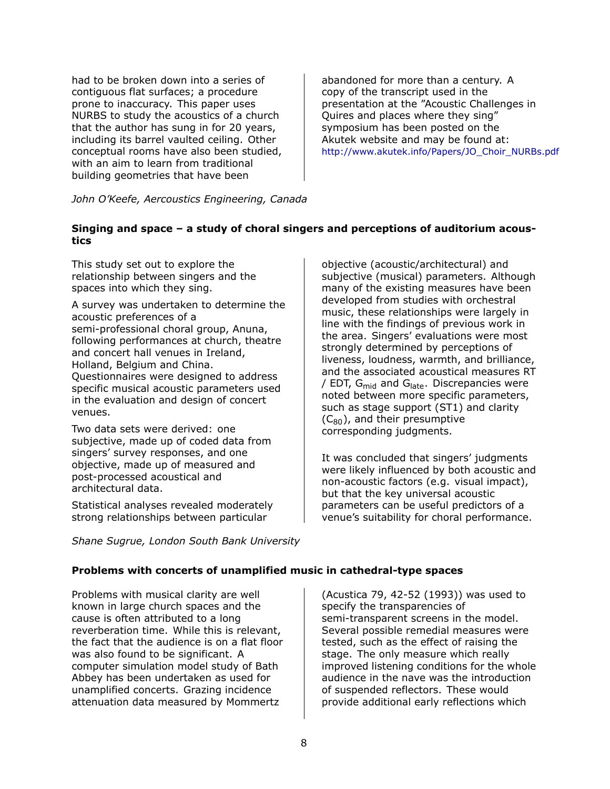had to be broken down into a series of contiguous flat surfaces; a procedure prone to inaccuracy. This paper uses NURBS to study the acoustics of a church that the author has sung in for 20 years, including its barrel vaulted ceiling. Other conceptual rooms have also been studied, with an aim to learn from traditional building geometries that have been

abandoned for more than a century. A copy of the transcript used in the presentation at the "Acoustic Challenges in Quires and places where they sing" symposium has been posted on the Akutek website and may be found at: [http://www.akutek.info/Papers/JO\\_Choir\\_NURBs.pdf](http://www.akutek.info/Papers/JO_Choir_NURBs.pdf )

*John O'Keefe, Aercoustics Engineering, Canada*

#### **Singing and space – a study of choral singers and perceptions of auditorium acoustics**

This study set out to explore the relationship between singers and the spaces into which they sing.

A survey was undertaken to determine the acoustic preferences of a semi-professional choral group, Anuna, following performances at church, theatre and concert hall venues in Ireland, Holland, Belgium and China. Questionnaires were designed to address specific musical acoustic parameters used in the evaluation and design of concert venues.

Two data sets were derived: one subjective, made up of coded data from singers' survey responses, and one objective, made up of measured and post-processed acoustical and architectural data.

Statistical analyses revealed moderately strong relationships between particular

*Shane Sugrue, London South Bank University*

objective (acoustic/architectural) and subjective (musical) parameters. Although many of the existing measures have been developed from studies with orchestral music, these relationships were largely in line with the findings of previous work in the area. Singers' evaluations were most strongly determined by perceptions of liveness, loudness, warmth, and brilliance, and the associated acoustical measures RT / EDT,  $G_{mid}$  and  $G_{late}$ . Discrepancies were noted between more specific parameters, such as stage support (ST1) and clarity  $(C_{80})$ , and their presumptive corresponding judgments.

It was concluded that singers' judgments were likely influenced by both acoustic and non-acoustic factors (e.g. visual impact), but that the key universal acoustic parameters can be useful predictors of a venue's suitability for choral performance.

#### **Problems with concerts of unamplified music in cathedral-type spaces**

Problems with musical clarity are well known in large church spaces and the cause is often attributed to a long reverberation time. While this is relevant, the fact that the audience is on a flat floor was also found to be significant. A computer simulation model study of Bath Abbey has been undertaken as used for unamplified concerts. Grazing incidence attenuation data measured by Mommertz

(Acustica 79, 42-52 (1993)) was used to specify the transparencies of semi-transparent screens in the model. Several possible remedial measures were tested, such as the effect of raising the stage. The only measure which really improved listening conditions for the whole audience in the nave was the introduction of suspended reflectors. These would provide additional early reflections which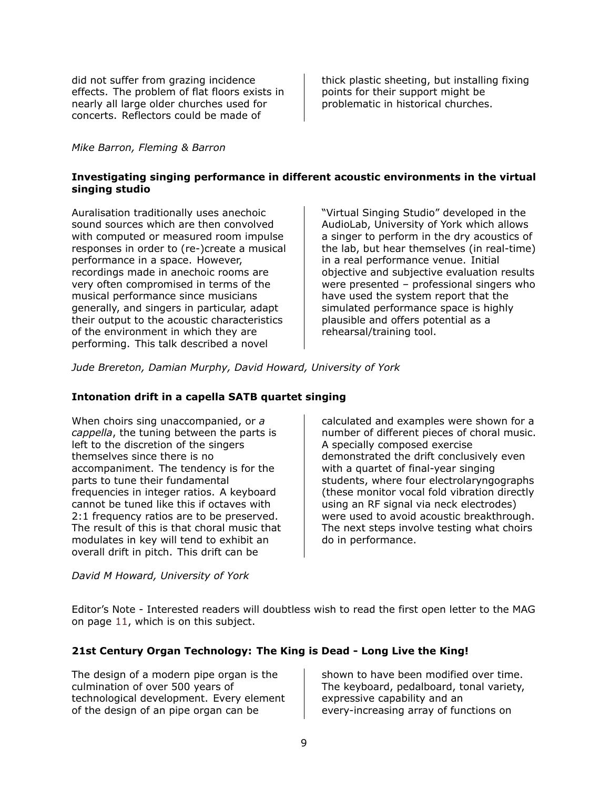did not suffer from grazing incidence effects. The problem of flat floors exists in nearly all large older churches used for concerts. Reflectors could be made of

*Mike Barron, Fleming & Barron*

thick plastic sheeting, but installing fixing points for their support might be problematic in historical churches.

#### **Investigating singing performance in different acoustic environments in the virtual singing studio**

Auralisation traditionally uses anechoic sound sources which are then convolved with computed or measured room impulse responses in order to (re-)create a musical performance in a space. However, recordings made in anechoic rooms are very often compromised in terms of the musical performance since musicians generally, and singers in particular, adapt their output to the acoustic characteristics of the environment in which they are performing. This talk described a novel

"Virtual Singing Studio" developed in the AudioLab, University of York which allows a singer to perform in the dry acoustics of the lab, but hear themselves (in real-time) in a real performance venue. Initial objective and subjective evaluation results were presented – professional singers who have used the system report that the simulated performance space is highly plausible and offers potential as a rehearsal/training tool.

*Jude Brereton, Damian Murphy, David Howard, University of York*

#### **Intonation drift in a capella SATB quartet singing**

When choirs sing unaccompanied, or *a cappella*, the tuning between the parts is left to the discretion of the singers themselves since there is no accompaniment. The tendency is for the parts to tune their fundamental frequencies in integer ratios. A keyboard cannot be tuned like this if octaves with 2:1 frequency ratios are to be preserved. The result of this is that choral music that modulates in key will tend to exhibit an overall drift in pitch. This drift can be

calculated and examples were shown for a number of different pieces of choral music. A specially composed exercise demonstrated the drift conclusively even with a quartet of final-year singing students, where four electrolaryngographs (these monitor vocal fold vibration directly using an RF signal via neck electrodes) were used to avoid acoustic breakthrough. The next steps involve testing what choirs do in performance.

#### *David M Howard, University of York*

Editor's Note - Interested readers will doubtless wish to read the first open letter to the MAG on page [11](#page-10-0), which is on this subject.

#### **21st Century Organ Technology: The King is Dead - Long Live the King!**

The design of a modern pipe organ is the culmination of over 500 years of technological development. Every element of the design of an pipe organ can be

shown to have been modified over time. The keyboard, pedalboard, tonal variety, expressive capability and an every-increasing array of functions on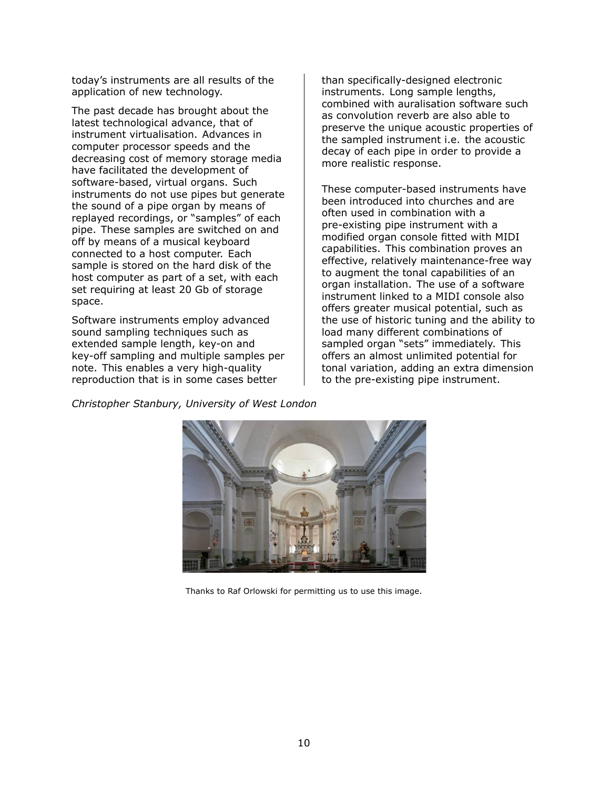today's instruments are all results of the application of new technology.

The past decade has brought about the latest technological advance, that of instrument virtualisation. Advances in computer processor speeds and the decreasing cost of memory storage media have facilitated the development of software-based, virtual organs. Such instruments do not use pipes but generate the sound of a pipe organ by means of replayed recordings, or "samples" of each pipe. These samples are switched on and off by means of a musical keyboard connected to a host computer. Each sample is stored on the hard disk of the host computer as part of a set, with each set requiring at least 20 Gb of storage space.

Software instruments employ advanced sound sampling techniques such as extended sample length, key-on and key-off sampling and multiple samples per note. This enables a very high-quality reproduction that is in some cases better

than specifically-designed electronic instruments. Long sample lengths, combined with auralisation software such as convolution reverb are also able to preserve the unique acoustic properties of the sampled instrument i.e. the acoustic decay of each pipe in order to provide a more realistic response.

These computer-based instruments have been introduced into churches and are often used in combination with a pre-existing pipe instrument with a modified organ console fitted with MIDI capabilities. This combination proves an effective, relatively maintenance-free way to augment the tonal capabilities of an organ installation. The use of a software instrument linked to a MIDI console also offers greater musical potential, such as the use of historic tuning and the ability to load many different combinations of sampled organ "sets" immediately. This offers an almost unlimited potential for tonal variation, adding an extra dimension to the pre-existing pipe instrument.

*Christopher Stanbury, University of West London*



Thanks to Raf Orlowski for permitting us to use this image.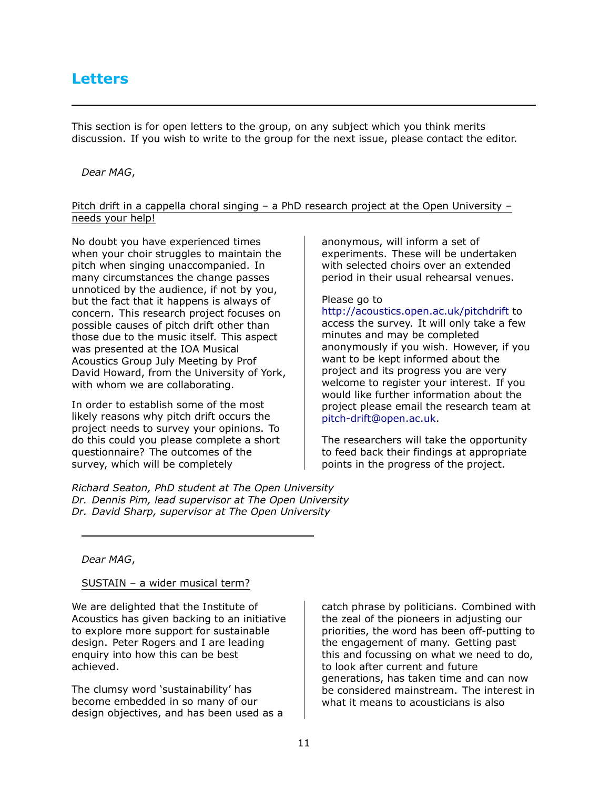<span id="page-10-0"></span>This section is for open letters to the group, on any subject which you think merits discussion. If you wish to write to the group for the next issue, please contact the editor.

#### *Dear MAG*,

#### Pitch drift in a cappella choral singing – a PhD research project at the Open University – needs your help!

No doubt you have experienced times when your choir struggles to maintain the pitch when singing unaccompanied. In many circumstances the change passes unnoticed by the audience, if not by you, but the fact that it happens is always of concern. This research project focuses on possible causes of pitch drift other than those due to the music itself. This aspect was presented at the IOA Musical Acoustics Group July Meeting by Prof David Howard, from the University of York, with whom we are collaborating.

In order to establish some of the most likely reasons why pitch drift occurs the project needs to survey your opinions. To do this could you please complete a short questionnaire? The outcomes of the survey, which will be completely

*Richard Seaton, PhD student at The Open University Dr. Dennis Pim, lead supervisor at The Open University Dr. David Sharp, supervisor at The Open University*

anonymous, will inform a set of experiments. These will be undertaken with selected choirs over an extended period in their usual rehearsal venues.

#### Please go to

<http://acoustics.open.ac.uk/pitchdrift> to access the survey. It will only take a few minutes and may be completed anonymously if you wish. However, if you want to be kept informed about the project and its progress you are very welcome to register your interest. If you would like further information about the project please email the research team at [pitch-drift@open.ac.uk.](mailto:pitch-drift@open.ac.uk)

The researchers will take the opportunity to feed back their findings at appropriate points in the progress of the project.

#### *Dear MAG*,

#### SUSTAIN – a wider musical term?

We are delighted that the Institute of Acoustics has given backing to an initiative to explore more support for sustainable design. Peter Rogers and I are leading enquiry into how this can be best achieved.

The clumsy word 'sustainability' has become embedded in so many of our design objectives, and has been used as a catch phrase by politicians. Combined with the zeal of the pioneers in adjusting our priorities, the word has been off-putting to the engagement of many. Getting past this and focussing on what we need to do, to look after current and future generations, has taken time and can now be considered mainstream. The interest in what it means to acousticians is also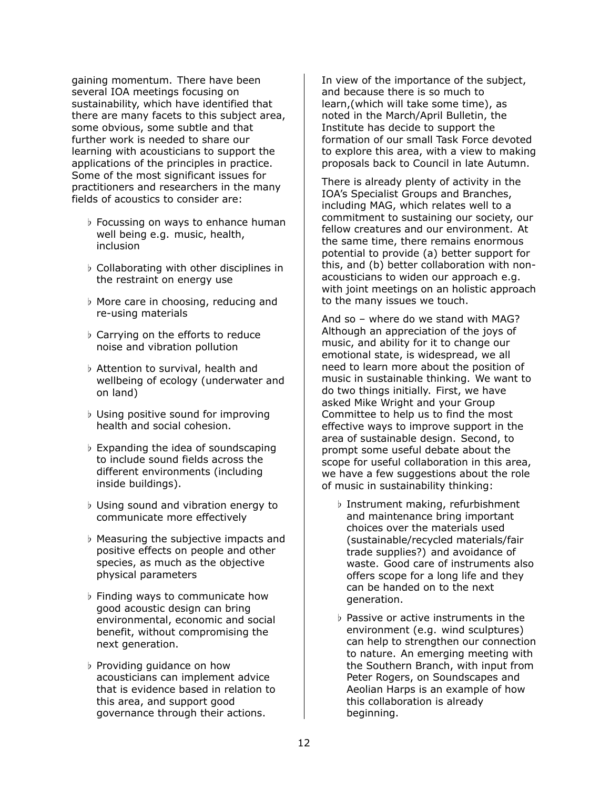gaining momentum. There have been several IOA meetings focusing on sustainability, which have identified that there are many facets to this subject area, some obvious, some subtle and that further work is needed to share our learning with acousticians to support the applications of the principles in practice. Some of the most significant issues for practitioners and researchers in the many fields of acoustics to consider are:

- *♭* Focussing on ways to enhance human well being e.g. music, health, inclusion
- *♭* Collaborating with other disciplines in the restraint on energy use
- *♭* More care in choosing, reducing and re-using materials
- *♭* Carrying on the efforts to reduce noise and vibration pollution
- *♭* Attention to survival, health and wellbeing of ecology (underwater and on land)
- *♭* Using positive sound for improving health and social cohesion.
- *♭* Expanding the idea of soundscaping to include sound fields across the different environments (including inside buildings).
- *♭* Using sound and vibration energy to communicate more effectively
- *♭* Measuring the subjective impacts and positive effects on people and other species, as much as the objective physical parameters
- *♭* Finding ways to communicate how good acoustic design can bring environmental, economic and social benefit, without compromising the next generation.
- *♭* Providing guidance on how acousticians can implement advice that is evidence based in relation to this area, and support good governance through their actions.

In view of the importance of the subject, and because there is so much to learn,(which will take some time), as noted in the March/April Bulletin, the Institute has decide to support the formation of our small Task Force devoted to explore this area, with a view to making proposals back to Council in late Autumn.

There is already plenty of activity in the IOA's Specialist Groups and Branches, including MAG, which relates well to a commitment to sustaining our society, our fellow creatures and our environment. At the same time, there remains enormous potential to provide (a) better support for this, and (b) better collaboration with nonacousticians to widen our approach e.g. with joint meetings on an holistic approach to the many issues we touch.

And so – where do we stand with MAG? Although an appreciation of the joys of music, and ability for it to change our emotional state, is widespread, we all need to learn more about the position of music in sustainable thinking. We want to do two things initially. First, we have asked Mike Wright and your Group Committee to help us to find the most effective ways to improve support in the area of sustainable design. Second, to prompt some useful debate about the scope for useful collaboration in this area, we have a few suggestions about the role of music in sustainability thinking:

- *♭* Instrument making, refurbishment and maintenance bring important choices over the materials used (sustainable/recycled materials/fair trade supplies?) and avoidance of waste. Good care of instruments also offers scope for a long life and they can be handed on to the next generation.
- *♭* Passive or active instruments in the environment (e.g. wind sculptures) can help to strengthen our connection to nature. An emerging meeting with the Southern Branch, with input from Peter Rogers, on Soundscapes and Aeolian Harps is an example of how this collaboration is already beginning.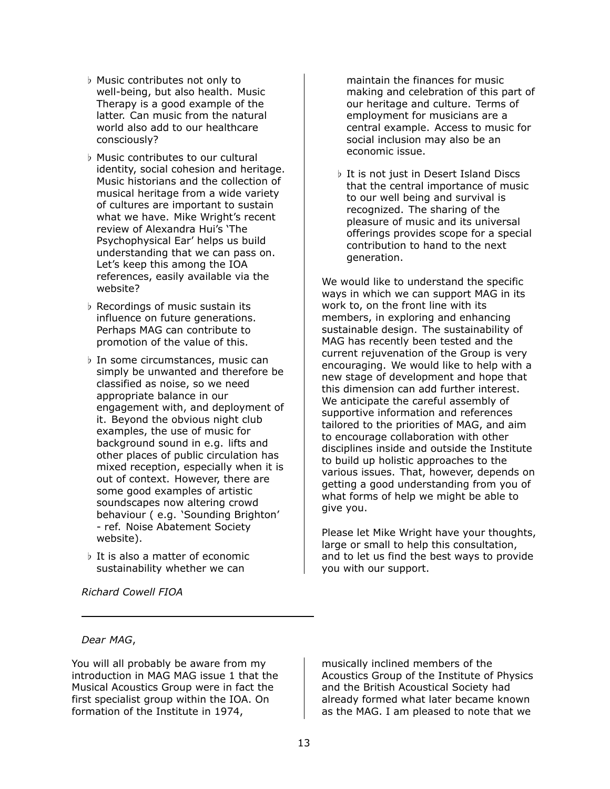- *♭* Music contributes not only to well-being, but also health. Music Therapy is a good example of the latter. Can music from the natural world also add to our healthcare consciously?
- *♭* Music contributes to our cultural identity, social cohesion and heritage. Music historians and the collection of musical heritage from a wide variety of cultures are important to sustain what we have. Mike Wright's recent review of Alexandra Hui's 'The Psychophysical Ear' helps us build understanding that we can pass on. Let's keep this among the IOA references, easily available via the website?
- *♭* Recordings of music sustain its influence on future generations. Perhaps MAG can contribute to promotion of the value of this.
- *♭* In some circumstances, music can simply be unwanted and therefore be classified as noise, so we need appropriate balance in our engagement with, and deployment of it. Beyond the obvious night club examples, the use of music for background sound in e.g. lifts and other places of public circulation has mixed reception, especially when it is out of context. However, there are some good examples of artistic soundscapes now altering crowd behaviour ( e.g. 'Sounding Brighton' - ref. Noise Abatement Society website).
- *♭* It is also a matter of economic sustainability whether we can

*Richard Cowell FIOA*

maintain the finances for music making and celebration of this part of our heritage and culture. Terms of employment for musicians are a central example. Access to music for social inclusion may also be an economic issue.

*♭* It is not just in Desert Island Discs that the central importance of music to our well being and survival is recognized. The sharing of the pleasure of music and its universal offerings provides scope for a special contribution to hand to the next generation.

We would like to understand the specific ways in which we can support MAG in its work to, on the front line with its members, in exploring and enhancing sustainable design. The sustainability of MAG has recently been tested and the current rejuvenation of the Group is very encouraging. We would like to help with a new stage of development and hope that this dimension can add further interest. We anticipate the careful assembly of supportive information and references tailored to the priorities of MAG, and aim to encourage collaboration with other disciplines inside and outside the Institute to build up holistic approaches to the various issues. That, however, depends on getting a good understanding from you of what forms of help we might be able to give you.

Please let Mike Wright have your thoughts, large or small to help this consultation, and to let us find the best ways to provide you with our support.

#### *Dear MAG*,

You will all probably be aware from my introduction in MAG MAG issue 1 that the Musical Acoustics Group were in fact the first specialist group within the IOA. On formation of the Institute in 1974,

musically inclined members of the Acoustics Group of the Institute of Physics and the British Acoustical Society had already formed what later became known as the MAG. I am pleased to note that we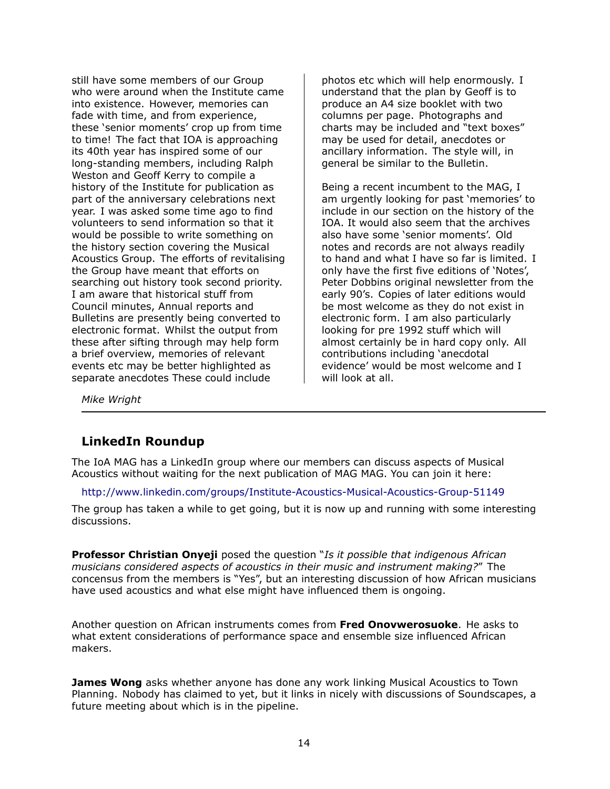still have some members of our Group who were around when the Institute came into existence. However, memories can fade with time, and from experience, these 'senior moments' crop up from time to time! The fact that IOA is approaching its 40th year has inspired some of our long-standing members, including Ralph Weston and Geoff Kerry to compile a history of the Institute for publication as part of the anniversary celebrations next year. I was asked some time ago to find volunteers to send information so that it would be possible to write something on the history section covering the Musical Acoustics Group. The efforts of revitalising the Group have meant that efforts on searching out history took second priority. I am aware that historical stuff from Council minutes, Annual reports and Bulletins are presently being converted to electronic format. Whilst the output from these after sifting through may help form a brief overview, memories of relevant events etc may be better highlighted as separate anecdotes These could include

photos etc which will help enormously. I understand that the plan by Geoff is to produce an A4 size booklet with two columns per page. Photographs and charts may be included and "text boxes" may be used for detail, anecdotes or ancillary information. The style will, in general be similar to the Bulletin.

Being a recent incumbent to the MAG, I am urgently looking for past 'memories' to include in our section on the history of the IOA. It would also seem that the archives also have some 'senior moments'. Old notes and records are not always readily to hand and what I have so far is limited. I only have the first five editions of 'Notes', Peter Dobbins original newsletter from the early 90's. Copies of later editions would be most welcome as they do not exist in electronic form. I am also particularly looking for pre 1992 stuff which will almost certainly be in hard copy only. All contributions including 'anecdotal evidence' would be most welcome and I will look at all.

*Mike Wright*

#### <span id="page-13-0"></span>**LinkedIn Roundup**

The IoA MAG has a LinkedIn group where our members can discuss aspects of Musical Acoustics without waiting for the next publication of MAG MAG. You can join it here:

#### <http://www.linkedin.com/groups/Institute-Acoustics-Musical-Acoustics-Group-51149>

The group has taken a while to get going, but it is now up and running with some interesting discussions.

**Professor Christian Onyeji** posed the question "*Is it possible that indigenous African musicians considered aspects of acoustics in their music and instrument making?*" The concensus from the members is "Yes", but an interesting discussion of how African musicians have used acoustics and what else might have influenced them is ongoing.

Another question on African instruments comes from **Fred Onovwerosuoke**. He asks to what extent considerations of performance space and ensemble size influenced African makers.

**James Wong** asks whether anyone has done any work linking Musical Acoustics to Town Planning. Nobody has claimed to yet, but it links in nicely with discussions of Soundscapes, a future meeting about which is in the pipeline.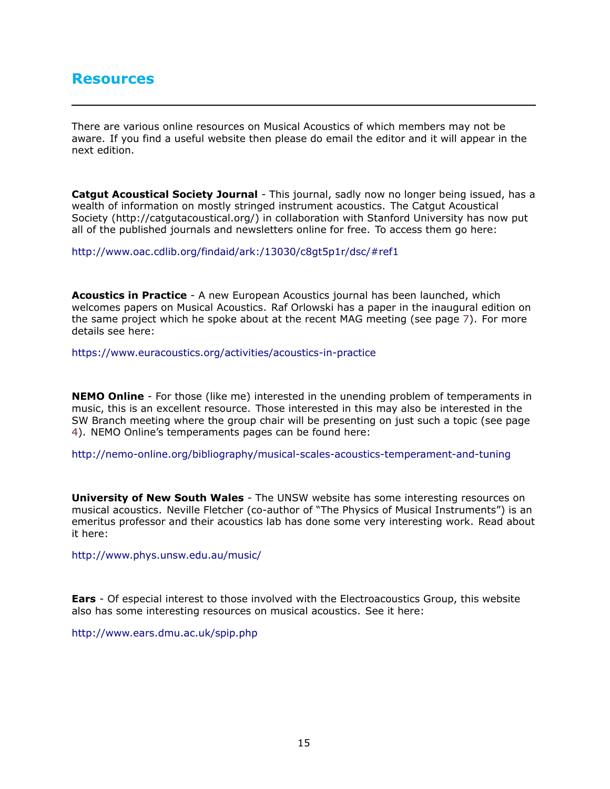# <span id="page-14-0"></span>**Resources**

There are various online resources on Musical Acoustics of which members may not be aware. If you find a useful website then please do email the editor and it will appear in the next edition.

**Catgut Acoustical Society Journal** - This journal, sadly now no longer being issued, has a wealth of information on mostly stringed instrument acoustics. The Catgut Acoustical Society (http://catgutacoustical.org/) in collaboration with Stanford University has now put all of the published journals and newsletters online for free. To access them go here:

<http://www.oac.cdlib.org/findaid/ark:/13030/c8gt5p1r/dsc/#ref1>

**Acoustics in Practice** - A new European Acoustics journal has been launched, which welcomes papers on Musical Acoustics. Raf Orlowski has a paper in the inaugural edition on the same project which he spoke about at the recent MAG meeting (see page [7](#page-6-0)). For more details see here:

<https://www.euracoustics.org/activities/acoustics-in-practice>

**NEMO Online** - For those (like me) interested in the unending problem of temperaments in music, this is an excellent resource. Those interested in this may also be interested in the SW Branch meeting where the group chair will be presenting on just such a topic (see page [4](#page-3-1)). NEMO Online's temperaments pages can be found here:

<http://nemo-online.org/bibliography/musical-scales-acoustics-temperament-and-tuning>

**University of New South Wales** - The UNSW website has some interesting resources on musical acoustics. Neville Fletcher (co-author of "The Physics of Musical Instruments") is an emeritus professor and their acoustics lab has done some very interesting work. Read about it here:

<http://www.phys.unsw.edu.au/music/>

**Ears** - Of especial interest to those involved with the Electroacoustics Group, this website also has some interesting resources on musical acoustics. See it here:

<http://www.ears.dmu.ac.uk/spip.php>